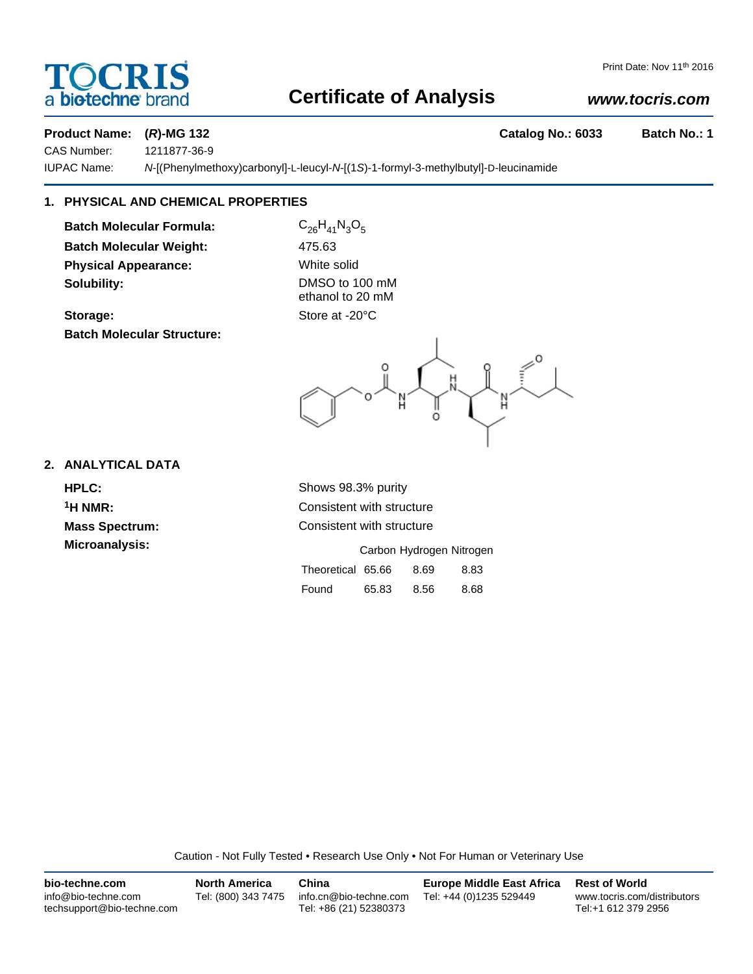## a **biotechne** brand

#### Print Date: Nov 11<sup>th</sup> 2016

## **Certificate of Analysis**

## *www.tocris.com*

## **Product Name: (***R***)-MG 132 Catalog No.: 6033 Batch No.: 1**

CAS Number: 1211877-36-9

IUPAC Name: *N*-[(Phenylmethoxy)carbonyl]-L-leucyl-*N*-[(1*S*)-1-formyl-3-methylbutyl]-D-leucinamide

## **1. PHYSICAL AND CHEMICAL PROPERTIES**

**Batch Molecular Formula:** C<sub>26</sub>H<sub>41</sub>N<sub>3</sub>O<sub>5</sub> **Batch Molecular Weight:** 475.63 **Physical Appearance:** White solid **Solubility:** DMSO to 100 mM

**Batch Molecular Structure:**

ethanol to 20 mM Storage: Store at -20°C

## **2. ANALYTICAL DATA**

**HPLC:** Shows 98.3% purity <sup>1</sup>H NMR: Consistent with structure **Mass Spectrum:** Consistent with structure

| Microanalysis: |                   |       |      | Carbon Hydrogen Nitrogen |
|----------------|-------------------|-------|------|--------------------------|
|                | Theoretical 65.66 |       | 8.69 | 8.83                     |
|                | Found             | 65.83 | 8.56 | 8.68                     |

Caution - Not Fully Tested • Research Use Only • Not For Human or Veterinary Use

| bio-techne.com                                    | <b>North America</b> | China                                            | <b>Europe Middle East Africa</b> | <b>Rest of World</b>                               |
|---------------------------------------------------|----------------------|--------------------------------------------------|----------------------------------|----------------------------------------------------|
| info@bio-techne.com<br>techsupport@bio-techne.com | Tel: (800) 343 7475  | info.cn@bio-techne.com<br>Tel: +86 (21) 52380373 | Tel: +44 (0)1235 529449          | www.tocris.com/distributors<br>Tel:+1 612 379 2956 |